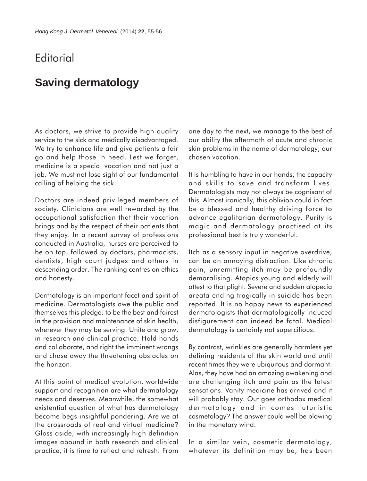## **Editorial**

## **Saving dermatology**

As doctors, we strive to provide high quality service to the sick and medically disadvantaged. We try to enhance life and give patients a fair go and help those in need. Lest we forget, medicine is a special vocation and not just a job. We must not lose sight of our fundamental calling of helping the sick.

Doctors are indeed privileged members of society. Clinicians are well rewarded by the occupational satisfaction that their vocation brings and by the respect of their patients that they enjoy. In a recent survey of professions conducted in Australia, nurses are perceived to be on top, followed by doctors, pharmacists, dentists, high court judges and others in descending order. The ranking centres on ethics and honesty.

Dermatology is an important facet and spirit of medicine. Dermatologists owe the public and themselves this pledge: to be the best and fairest in the provision and maintenance of skin health, wherever they may be serving. Unite and grow, in research and clinical practice. Hold hands and collaborate, and right the imminent wrongs and chase away the threatening obstacles on the horizon.

At this point of medical evolution, worldwide support and recognition are what dermatology needs and deserves. Meanwhile, the somewhat existential question of what has dermatology become begs insightful pondering. Are we at the crossroads of real and virtual medicine? Gloss aside, with increasingly high definition images abound in both research and clinical practice, it is time to reflect and refresh. From

one day to the next, we manage to the best of our ability the aftermath of acute and chronic skin problems in the name of dermatology, our chosen vocation.

It is humbling to have in our hands, the capacity and skills to save and transform lives. Dermatologists may not always be cognisant of this. Almost ironically, this oblivion could in fact be a blessed and healthy driving force to advance egalitarian dermatology. Purity is magic and dermatology practised at its professional best is truly wonderful.

Itch as a sensory input in negative overdrive, can be an annoying distraction. Like chronic pain, unremitting itch may be profoundly demoralising. Atopics young and elderly will attest to that plight. Severe and sudden alopecia areata ending tragically in suicide has been reported. It is no happy news to experienced dermatologists that dermatologically induced disfigurement can indeed be fatal. Medical dermatology is certainly not supercilious.

By contrast, wrinkles are generally harmless yet defining residents of the skin world and until recent times they were ubiquitous and dormant. Alas, they have had an amazing awakening and are challenging itch and pain as the latest sensations. Vanity medicine has arrived and it will probably stay. Out goes orthodox medical dermatology and in comes futuristic cosmetology? The answer could well be blowing in the monetary wind.

In a similar vein, cosmetic dermatology, whatever its definition may be, has been